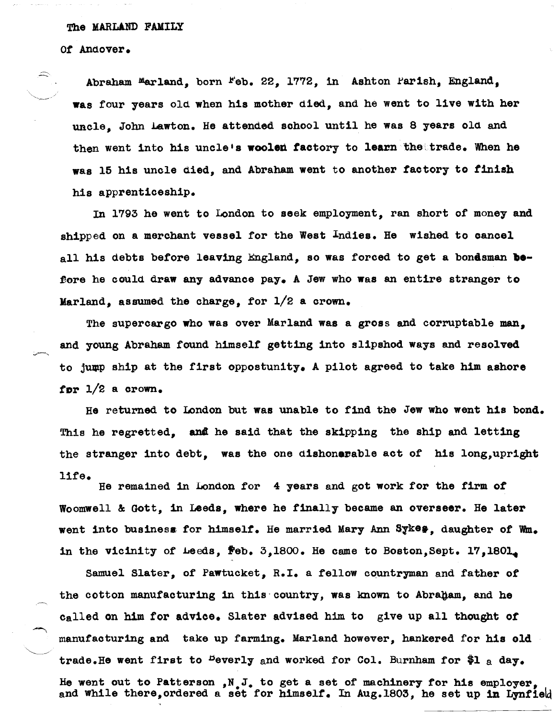### The MARLAND FAMILY

Of Andover.

Abraham Marland. born Feb. 22, 1772, in Ashton Parish, England, was four years old when his mother died. and he went to live with her uncle, John Lawton. He attended sohool until he was 8 years old and then went into his uncle's woolen factory to learn the trade. When he was 15 his uncle died, and Abraham went to another faotory to tinish his apprentioeship.

In 1793 he went to London to seek employment, ran short of money and shipped on a merchant vessel for the West Indies. He wished to cancel all his debts before leaving England, so was forced to get a bondsman **be**fore he could draw any advance pay. A Jew who was an entire stranger to Marland, assumed the charge, for  $1/2$  a crown.

The supercargo who was over Marland was a gross and corruptable man, and young Abraham found himself getting into slipshod ways and resolved to jump ship at the first oppostunity. A pilot agreed to take him ashore for  $1/2$  a crown.

He returned to London but was unable to find the Jew who went his bond. This he regretted, and he said that the skipping the ship and letting the stranger into debt, was the one dishonorable act of his long,upright life.

He remained in London for 4 years and got work for the firm *ot*  Woomwell & Gott, in Leeds, where he finally became an overseer. He later went into business for himself. He married Mary Ann Sykes, daughter of Wm. in the vicinity of Leeds,  $\texttt{Feb. 3,1800.}$  He came to Boston, Sept. 17, 1801.

manufacturing and take up farming. Marland however, hankered for his old Samuel Slater, of Pawtucket, R.I. a fellow countryman and father of the cotton manufacturing in this country, was known to Abraham, and he Called on him for advice. Slater advised him to give up all thought *ot*  trade. He went first to <sup>b</sup>everly and worked for Col. Burnham for  $h_a$  a day. He went out to Patterson ,N.J. to get a set *ot* machinery for his employer, and while there, ordered a set for himself. In Aug.1803, he set up in Lynfield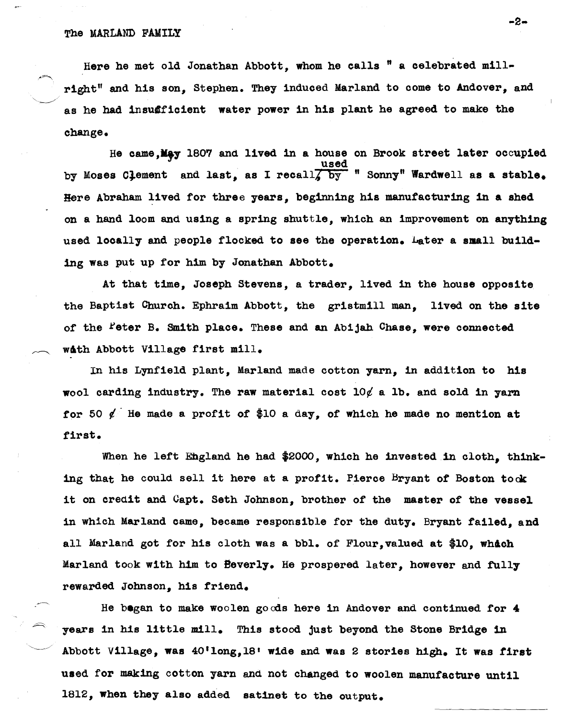#### The MARLAND FAMILY

Here he met old Jonathan Abbott, whom he calls " a celebrated millright" and his son, Stephen. They induced Marland to come to Andover, and as he had insufficient water power in his plant he agreed to make the change.

He came, May 1807 and lived in a house on Brook street later occupied used by Moses Clement and last, as I recall $\overline{\chi}$  by "Sonny" Wardwell as a stable. Here Abraham lived for three years, beginning his manufacturing in a shed on a hand loom and using a spring shuttle, which an improvement on anything used locally and people flocked to see the operation. Later a small building was put up for him by Jonathan Abbott.

At that time, Joseph Stevens, a trader, lived in the house opposite the Baptist Church. Ephraim Abbott, the gristmill man, lived on the site of the <sup>P</sup>eter B. Smith place. These and an Abijah Chase, were connected with Abbott Village first mill.

In his Lynfield plant, Marland made ootton yarn, in addition to his wool carding industry. The raw material cost  $10/$  a lb. and sold in yarm for 50  $\ell$  He made a profit of \$10 a day, of which he made no mention at first.

When he left England he had \$2000, which he invested in cloth, thinking that he could sell it here at a profit. Pierce Bryant of Boston took it on oredit and Capt. Seth Johnson, brother of the master of the vessel in which Marland came, beoame responsible for the duty. Bryant failed, and all Marland got for his cloth was a bbl. of Flour, valued at \$10, which Marland took with him to Beverly. He prospered later, however and fully rewarded Johnson, his friend.

He began to make woolen goods here in Andover and oontinued for 4 years in his little mill. This stood just beyond the Stone Bridge in Abbott Village, was 40'long, 18' wide and was 2 stories high. It was first used for making cotton yarn and not ohanged to woolen manufacture until 1812, when they also added satinet to the output.

-2-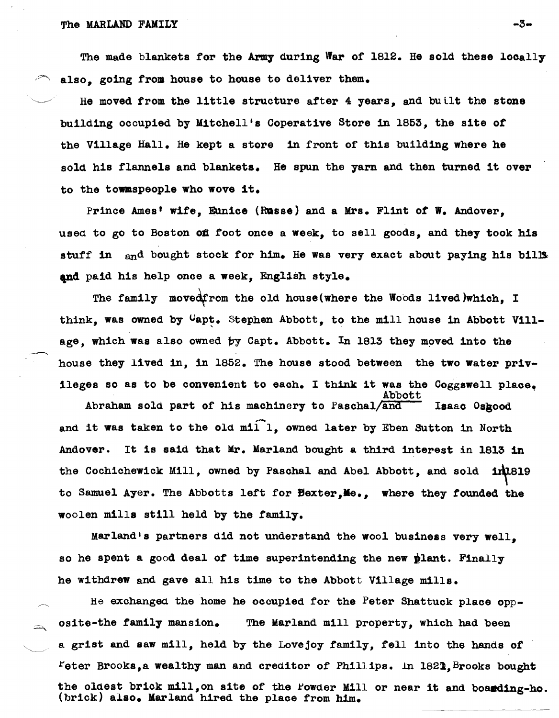The made blankets for the Army during War of 1812. He sold these locally also, going from house to house to deliver them.

He moved from the little structure after 4 years, and built the stone building occupied by Mitchell's Coperative Store in 1853, the site *ot*  the Village Hall. He kept a store in front of this building where he sold his flannels and blankets. He spun the yarn and then turned it over to the towaspeople who wove it.

Prince Ames' wife, Eunice (Russe) and a Mrs. Flint of W. Andover, used to go to Boston of foot once a week, to sell goods, and they took his stuff in and bought stock for him. He was very exact about paying his bills and paid his help once a week. English style.

The family movedfrom the old house(where the Woods lived)which, I think, was owned by  $C$ apt. Stephen Abbott, to the mill house in Abbott Village, which was also owned by Capt. Abbott. In 1813 they moved into the house they lived in, in 1852. The house stood between the two water privileges so as to be convenient to each. I think it was the Coggswell place.

Abraham sold part of his machinery to Paschal/and Isaac Osgood and it was taken to the old mill, owned later by Eben Sutton in North Andover. It is said that Mr. Marland bought a third interest in 1813 in the Cochichewick Mill, owned by Paschal and Abel Abbott, and sold in 1819 to Samuel Ayer. The Abbotts left for Bexter, Me., where they founded the woolen mills still held by the family.

Marland's partners did not understand the wool business very well, so he spent a good deal of time superintending the new plant. Finally he withdrew and gave all his time to the Abbott Village mills.

He exchanged the home he occupied for the Peter Shattuck place  $opp$ osite-the family mansion. The Marland mill property, which had been a grist and saw mill, held by the Lovejoy family, tell into the hands *ot*   $F$ eter Brooks,a wealthy man and creditor of Phillips. In 1821, Brooks bought the oldest brick mill, on site of the Powder Mill or near it and boarding-ho. (brick) also. Marland hired the place from him.

-3⊷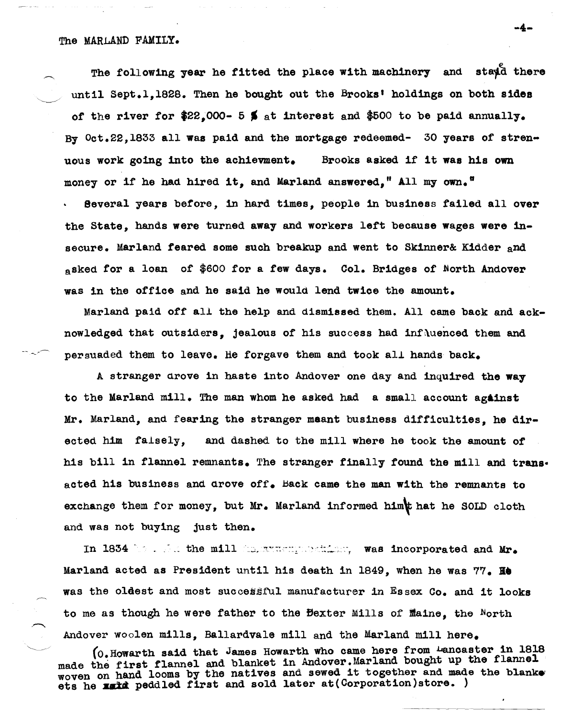The following year he fitted the place with machinery and stayd there until Sept.1.1828. Then he bought out the Brooks' holdings on both sides of the river for  $22.000 - 5$  \$ at interest and \$500 to be paid annually. By Oct.22,1833 all was pa1d and the mortgage redeemed- 30 years *ot* strenuous work going into the achievment. Brooks asked if it was his own money or if he had hired it, and Marland answered," All my own." Several years before, in hard times, people in business tailed allover the State, bands were turned away and workers left because wages were insecure. Marland feared some such breakup and went to Skinner& Kidder and asked for a loan of \$600 for a few days. Col. Bridges of North Andover was in the otfice and he said he Would lend twice the amount.

Marland paid off all the help and dismissed them. All came back and acknowledged that outsiders, jealous of h1s success had inf\uenced them and persuaded them to leave. He forgave them and took all hands back.

A stranger drove in haste into Andover one day and inquired the way to the Marland mill. The man whom he asked had a small account against Mr. Marland, and fearing the stranger meant business difficulties, he directed him falsely, and dashed to the mill where he took the amount of his bill in flannel remnants. The stranger finally found the mill and transacted his business and drove off. Back came the man with the remnants to exchange them for money, but Mr. Marland informed him that he SOLD cloth and was not buying just then.

In 1834 by . For the mill (intercorportion), was incorporated and Mr. Marland acted as President until his death in 1849, when he was 77. **He** was the oldest and most successful manufacturer in Essex Co. and it looks to me as though he were father to the Bexter Mills of flaine, the North Andover woolen mills. Ballardvale mill and the Marland mill here.

(0 Howarth said that James Howarth who came here from Lancaster in 1818 made the first flannel and blanket in Andover.Marland bought up the flannel made the first flannel and blanket in Andover. Mailand bodgift up the blanket woven on hand looms by the natives and sewed it together and made the blanket ets he **matched first** and sold later at (Corporation)store.

-4-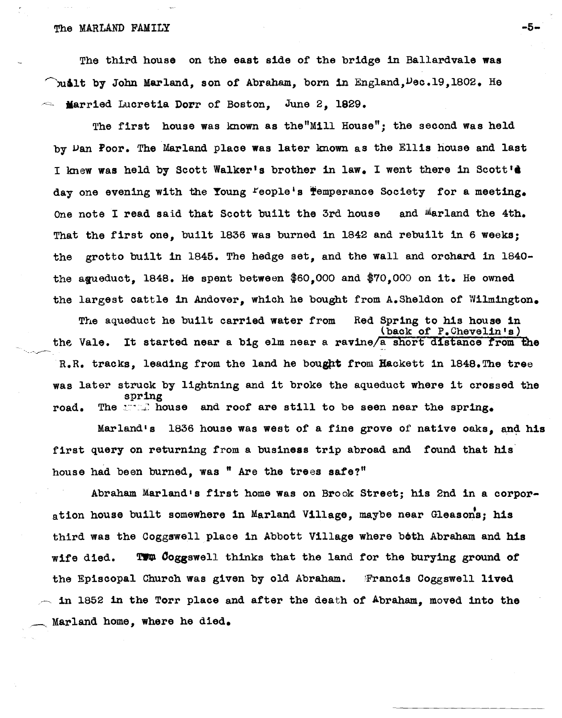# The MARLAND FAMILY  $-5-$

The third house on the east side of the bridge in Ballardvale was but by John Marland, son of Abraham, born in England, Dec. 19, 1802. He **Married Lucretia Dorr of Boston, June 2, 1929.** 

The first house was known as the"Mill House"; the second was held by Dan Poor. The Marland place was later known as the Ellis house and last I knew was held by Scott Walker's brother in law. I went there in Scott's day one evening with the Young Feople's Temperance Society for a meeting. One note I read said that Scott built the 3rd house and Marland the 4th. That the first one, built 1836 was burned in 1842 and rebuilt in 6 weeks; the grotto built in 1846. The hedge set, and the wall and orchard in 1840 the agueduct. 1848. He spent between  $$60,000$  and  $$70,000$  on it. He owned the largest cattle in Andover, which he bought from A.Sheldon of Wilmington.

The aqueduct he built carried water from Red Spring to his house in (back of P.Chevelin's) the Vale. It started near a big elm near a ravine/a short distance from the -----~- R.R. tracks, leading from the land he bought from Hackett in 1848. The tree was later struck by lightning and it broke the aqueduct where it crossed the spring road. The walked and roof are still to be seen near the spring.

Marland's 1836 house was west of a fine grove of native oaks, and his first query on returning from a business trip abroad and found that his house had been burned, was " Are the trees safe?"

Abraham Marland's first home was on Brook Street; his 2nd in a corporation house built somewhere in Marland Village, maybe near Gleason's; his third was the Coggswell place in Abbott Village where both Abraham and his wife died. TWW Coggswell thinks that the land for the burying ground of the Episcopal Church was given by old Abraham. Francis Coggswell lived  $\sim$  in 1852 in the Torr place and after the death of Abraham, moved into the Marland home, where he died.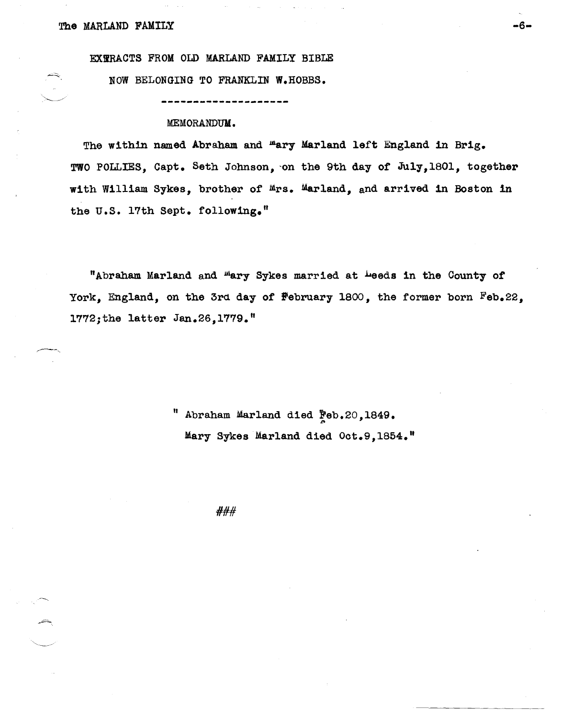$\begin{smallmatrix} \diagup \diagup \diagdown \end{smallmatrix}$ 

,----....

~-..

EXTRACTS FROM OLD MARLAND FAMILY BIBLE

NOW BELONGING TO FRANKLIN W.HOBBS •

# MEMORANDUK.

The within named Abraham and "ary Marland left England in Brig. TWO POLLIES, Capt. Seth Johnson, on the 9th day of July, 1801, together with William Sykes, brother *ot* Mrs. Marland, and arrived 10 Boston in the U.S. 17th Sept. following."

"Abraham Marland and <sup>m</sup>ary Sykes married at <sup>L</sup>eeds in the County of York, England, on the 3rd day of  $F$ ebruary 1800, the former born  $F$ eb.22, l772;the latter Jan.26,1779."

> Abraham Marland died Feb.20,1849. Mary Sykes Marland died Oct.9,1854."

> > ###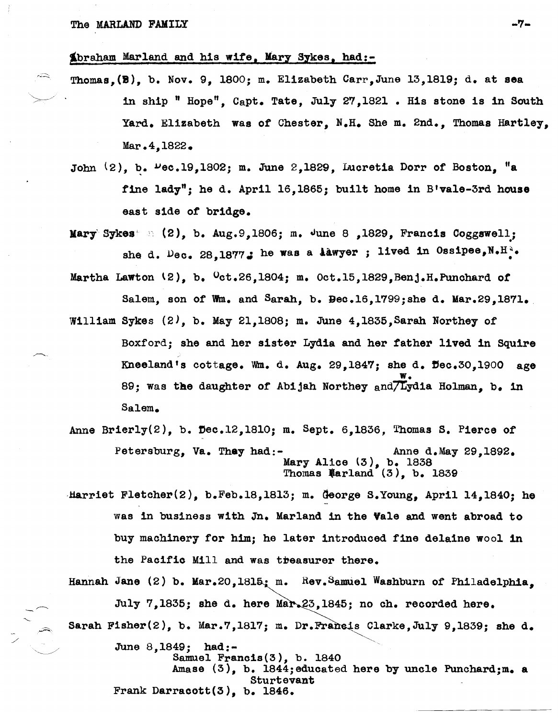. ..;;::;;>

~braham Marland and his wife, Mary Sykes, had:-

- Thomas,(B), b. Nov. 9, 1800; m. Elizabeth Carr,June 13,1819; d. at sea in ship " Hope", Capt. Tate, July 27, 1821. His stone is in South Yard. Elizabeth was of Chester, N.H. She m. 2nd., Thomas Hartley, Mar. 4, 1822.
- John  $(2)$ , b.  $\mu$ ec.19,1802; m. June 2,1829, Lucretia Dorr of Boston, "a fine lady"; he d. April 16,1865; built home in B'vale-3rd house east side of bridge.
- Mary Sykes" :  $(2)$ , b. Aug.9,1806; m. June 8 ,1829, Francis Coggswell; she d.  $\log_{e}$  28,1877. he was a lawyer; lived in Ossipee, N.H...
- Martha Lawton  $(2)$ , b.  $0ct.26,1804$ ; m.  $0ct.15,1829$ , Benj.H.Punchard of Salem, son of Wm. and Sarah, b. Bec.16,1799;she d. Mar.29,1871.
- William Sykes  $(2)$ , b. May 21,1808; m. June 4,1835, Sarah Northey of Boxford; she and her sister Lydia and her father lived in Squire Kneeland's cottage. Wm. d. Aug.  $29.1847$ ; she d.  $\text{Dec.30.1900 age}$ w. 89; was the daughter of Abijah Northey and Lydia Holman. b. in Salem.
- Anne Brierly $(2)$ , b. Dec.12,1810; m. Sept. 6,1836, Thomas S. Pierce of Petersburg, Va. They had:- Anne d.May 29,1892. Mary Alice (3), b. 1838 Thomas Warland  $(3)$ , b. 1839
- Harriet Fletcher(2), b. Feb. 18, 1813; m. George S. Young, April 14, 1840; he was in business with In. Marland in the Yale and went abroad to buy machinery for him; he later introduced fine delaine wool in the Pacific Mill and was tbeasurer there.

Hannah Jane  $(2)$  b. Mar.  $20,1815$ ; m. Rev. Samuel Washburn of Philadelphia. July 7,1835; she d. here Mar.23,1845; no ch. recorded here. Sarah Fisher(2), b. Mar.7,1817; m. Dr.Francis Clarke, July 9,1839; she d.  $\diagup$ June 8,1849; had:-

> Samuel Francis(3), b. 1840 Amase (3), b. 1844;educated here by uncle Punchard;m. a Sturtevant Frank Darracott(3), b. 1846.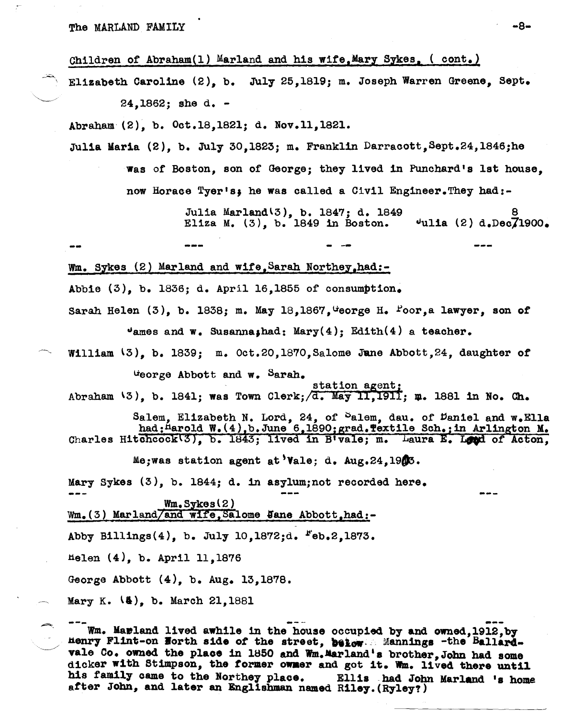The MARLAND FAMILY  $-8-$ 

-~

Children of Abraham(1) Marland and his wife, Mary Sykes, ( cont.)

Elizabeth Caroline (2), b. July 25,1819; m. Joseph Warren Greene, Sept. 24,1862; she d. -

Abraham (2), b. Oct.18,1821; d. Nov.11,1821.

Julia Maria (2), b. July 30,1823; m. Franklin Darracott, Sept.24,1846;he

Was of Boston, son of George; they lived in Punchard's 1st house, now Horace Tyer's; he was called a Civil Engineer. They had:-

> Julia Mar1and l3), b. 1847; d. 1849 Eliza M. (3), b. 1849 in Boston. <u>ខ</u>  $v$ ulia (2) d.Dec $71900.$

- -- Wm. Sykes (2) Marland and wife, Sarah Northey, had:-Abbie (3), b. 1836; d. April 16,1855 of consumption. Sarah Helen  $(3)$ , b. 1838; m. May 18,1867, George H. Poor,a lawyer, son of  $v_{\text{ames and }w_{\bullet}}$  Susanna; had: Mary(4); Edith(4) a teacher.

William  $(3)$ , b. 1839; m. Oct.20,1870, Salome June Abbott, 24, daughter of

ueorge Abbott and w. Sarah. station agent; Abraham  $\{3\}$ , b. 1841; was Town Clerk;  $\sqrt{d}$ . May 11,1911;  $\mu$ . 1881 in No. Ch.

Salem, Elizabeth N. Lord, 24, of Salem, dau. of Daniel and w. Ella had: Harold W. (4), b. June 6, 1890; grad. Textile Sch.; in Arlington M. Charles Hitchcock(3), b. 1843; lived in B'vale; m. Laura E. Loud of Acton,

Me;was station agent at'Va1e; d. Aug.24,19dB.

Mary Sykes (3), b. 1844; d. in asylum; not recorded here.

 $Wm$ . Sykes $(2)$  $Wm_{\bullet}(3)$  Marland/and wife, Salome Jane Abbott, had:-

Abby Billings $(4)$ , b. July 10,1872;d.  $F_{eb, 2, 1873.}$ 

tielen (4), b. April 11,1876

George Abbott (4), b. Aug. 13,1878.

Mary K. (4), b. March 21, 1881

.. ~ --- --- b. Maitland lived awhile in the house occupied by and owned,1912,by .t1el117 Flint-on Borth side of the street, M1ow.:, Manning. -the Bal1ar4 vale Co. owned the place in 1850 and Wm.Marland's brother, John had some dicker with Stimpson, the former owner and got it. Wm. lived there until his family came to the Northey place. Ellis had John Marland 's home after John, and later an Englishman named Riley. (Ryley?)